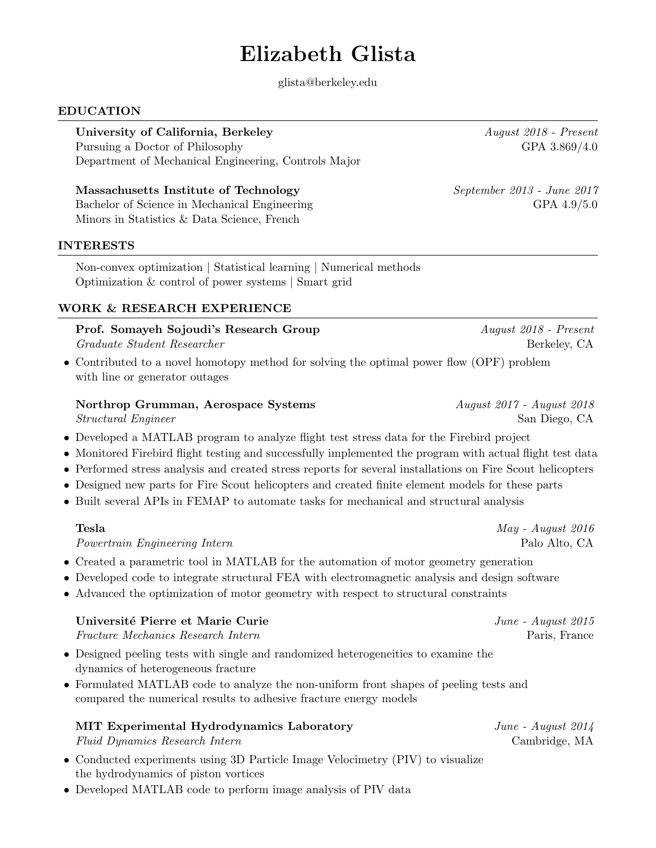# Elizabeth Glista

glista@berkeley.edu

## EDUCATION

## University of California, Berkeley August 2018 - Present

Pursuing a Doctor of Philosophy GPA 3.869/4.0 Department of Mechanical Engineering, Controls Major

## Massachusetts Institute of Technology September 2013 - June 2017

Bachelor of Science in Mechanical Engineering GPA 4.9/5.0 Minors in Statistics & Data Science, French

## INTERESTS

Non-convex optimization | Statistical learning | Numerical methods Optimization & control of power systems | Smart grid

## WORK & RESEARCH EXPERIENCE

## Prof. Somayeh Sojoudi's Research Group August 2018 - Present Graduate Student Researcher Berkeley, CA

• Contributed to a novel homotopy method for solving the optimal power flow (OPF) problem with line or generator outages

# Northrop Grumman, Aerospace Systems August 2017 - August 2018

- Developed a MATLAB program to analyze flight test stress data for the Firebird project
- Monitored Firebird flight testing and successfully implemented the program with actual flight test data
- Performed stress analysis and created stress reports for several installations on Fire Scout helicopters
- Designed new parts for Fire Scout helicopters and created finite element models for these parts
- Built several APIs in FEMAP to automate tasks for mechanical and structural analysis

# **Tesla**  $May - August\ 2016$

Powertrain Engineering Intern Palo Alto, CA

- Created a parametric tool in MATLAB for the automation of motor geometry generation
- Developed code to integrate structural FEA with electromagnetic analysis and design software
- Advanced the optimization of motor geometry with respect to structural constraints

# Université Pierre et Marie Curie  $June - August\ 2015$

Fracture Mechanics Research Intern Paris, France Paris, France

- Designed peeling tests with single and randomized heterogeneities to examine the dynamics of heterogeneous fracture
- Formulated MATLAB code to analyze the non-uniform front shapes of peeling tests and compared the numerical results to adhesive fracture energy models

# MIT Experimental Hydrodynamics Laboratory *June - August 2014*

Fluid Dynamics Research Intern Cambridge, MA

- Conducted experiments using 3D Particle Image Velocimetry (PIV) to visualize the hydrodynamics of piston vortices
- Developed MATLAB code to perform image analysis of PIV data

Structural Engineer San Diego, CA